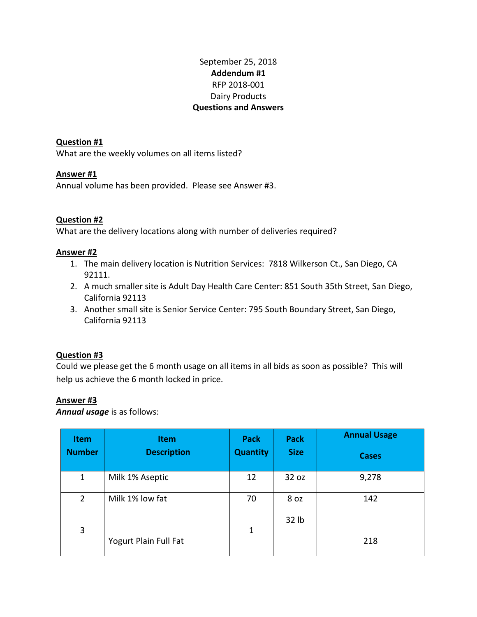## September 25, 2018 **Addendum #1** RFP 2018-001 Dairy Products **Questions and Answers**

**Question #1**  What are the weekly volumes on all items listed?

## **Answer #1**

Annual volume has been provided. Please see Answer #3.

### **Question #2**

What are the delivery locations along with number of deliveries required?

### **Answer #2**

- 1. The main delivery location is Nutrition Services: 7818 Wilkerson Ct., San Diego, CA 92111.
- 2. A much smaller site is Adult Day Health Care Center: 851 South 35th Street, San Diego, California 92113
- 3. Another small site is Senior Service Center: 795 South Boundary Street, San Diego, California 92113

### **Question #3**

Could we please get the 6 month usage on all items in all bids as soon as possible? This will help us achieve the 6 month locked in price.

#### **Answer #3**

*Annual usage* is as follows:

| <b>Item</b>    | <b>Item</b>           | <b>Pack</b>     | <b>Pack</b> | <b>Annual Usage</b> |
|----------------|-----------------------|-----------------|-------------|---------------------|
| <b>Number</b>  | <b>Description</b>    | <b>Quantity</b> | <b>Size</b> | <b>Cases</b>        |
| $\mathbf{1}$   | Milk 1% Aseptic       | 12              | 32 oz       | 9,278               |
| $\overline{2}$ | Milk 1% low fat       | 70              | 8 oz        | 142                 |
| 3              |                       | 1               | 32 lb       |                     |
|                | Yogurt Plain Full Fat |                 |             | 218                 |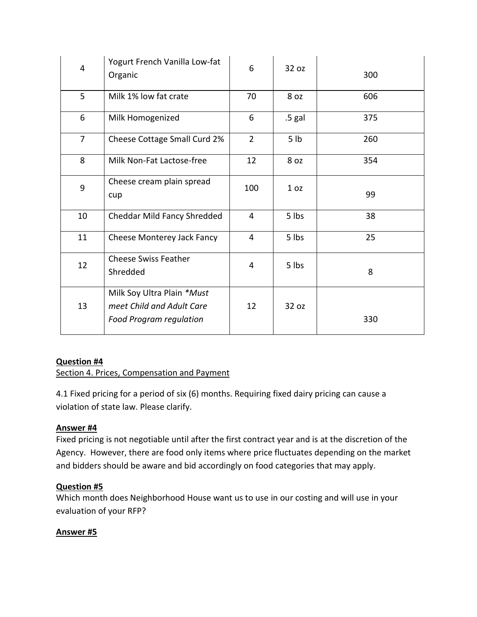| $\overline{4}$ | Yogurt French Vanilla Low-fat<br>Organic                                                  | 6              | 32 oz           | 300 |
|----------------|-------------------------------------------------------------------------------------------|----------------|-----------------|-----|
| 5              | Milk 1% low fat crate                                                                     | 70             | 8 oz            | 606 |
| 6              | Milk Homogenized                                                                          | 6              | .5 gal          | 375 |
| $\overline{7}$ | Cheese Cottage Small Curd 2%                                                              | $\overline{2}$ | 5 <sub>lb</sub> | 260 |
| 8              | Milk Non-Fat Lactose-free                                                                 | 12             | 8 oz            | 354 |
| 9              | Cheese cream plain spread<br>cup                                                          | 100            | 1 <sub>oz</sub> | 99  |
| 10             | Cheddar Mild Fancy Shredded                                                               | $\overline{4}$ | 5 lbs           | 38  |
| 11             | Cheese Monterey Jack Fancy                                                                | 4              | 5 lbs           | 25  |
| 12             | <b>Cheese Swiss Feather</b><br>Shredded                                                   | 4              | 5 lbs           | 8   |
| 13             | Milk Soy Ultra Plain *Must<br>meet Child and Adult Care<br><b>Food Program regulation</b> | 12             | 32 oz           | 330 |

## **Question #4**

Section 4. Prices, Compensation and Payment

4.1 Fixed pricing for a period of six (6) months. Requiring fixed dairy pricing can cause a violation of state law. Please clarify.

# **Answer #4**

Fixed pricing is not negotiable until after the first contract year and is at the discretion of the Agency. However, there are food only items where price fluctuates depending on the market and bidders should be aware and bid accordingly on food categories that may apply.

# **Question #5**

Which month does Neighborhood House want us to use in our costing and will use in your evaluation of your RFP?

## **Answer #5**